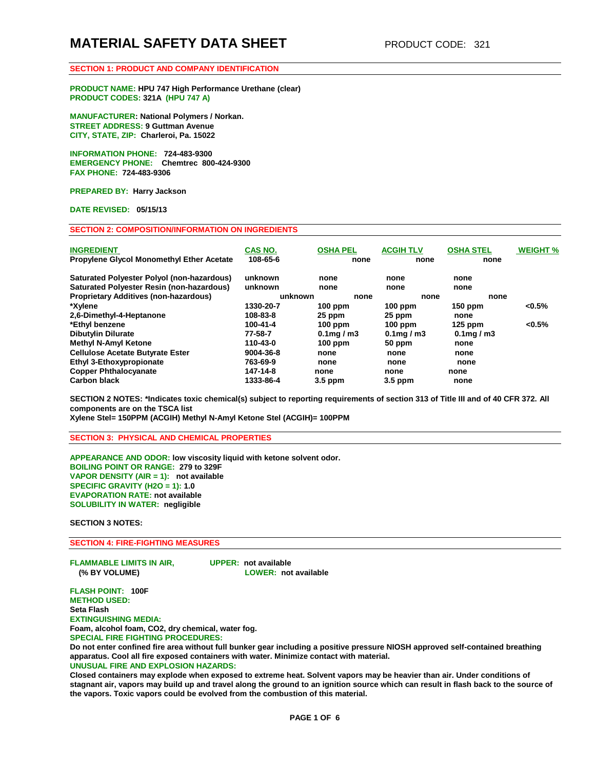# **SECTION 1: PRODUCT AND COMPANY IDENTIFICATION**

**PRODUCT NAME: HPU 747 High Performance Urethane (clear) PRODUCT CODES: 321A (HPU 747 A)** 

**MANUFACTURER: National Polymers / Norkan. STREET ADDRESS: 9 Guttman Avenue CITY, STATE, ZIP: Charleroi, Pa. 15022** 

**INFORMATION PHONE: 724-483-9300 EMERGENCY PHONE: Chemtrec 800-424-9300 FAX PHONE: 724-483-9306** 

**PREPARED BY: Harry Jackson** 

**DATE REVISED: 05/15/13**

# **SECTION 2: COMPOSITION/INFORMATION ON INGREDIENTS**

| <b>INGREDIENT</b><br><b>Propylene Glycol Monomethyl Ether Acetate</b> | <b>CAS NO.</b><br>108-65-6 | <b>OSHA PEL</b><br>none | <b>ACGIH TLV</b><br>none | <b>OSHA STEL</b><br>none | <b>WEIGHT %</b> |
|-----------------------------------------------------------------------|----------------------------|-------------------------|--------------------------|--------------------------|-----------------|
| Saturated Polyester Polyol (non-hazardous)                            | unknown                    | none                    | none                     | none                     |                 |
| Saturated Polyester Resin (non-hazardous)                             | unknown                    | none                    | none                     | none                     |                 |
| <b>Proprietary Additives (non-hazardous)</b>                          | unknown                    | none                    | none                     | none                     |                 |
| *Xvlene                                                               | 1330-20-7                  | $100$ ppm               | $100$ ppm                | $150$ ppm                | < 0.5%          |
| 2,6-Dimethyl-4-Heptanone                                              | 108-83-8                   | 25 ppm                  | 25 ppm                   | none                     |                 |
| *Ethyl benzene                                                        | 100-41-4                   | $100$ ppm               | $100$ ppm                | $125$ ppm                | < 0.5%          |
| <b>Dibutylin Dilurate</b>                                             | 77-58-7                    | $0.1$ mg / m $3$        | $0.1$ mg / m $3$         | $0.1$ mg / m $3$         |                 |
| <b>Methyl N-Amyl Ketone</b>                                           | 110-43-0                   | $100$ ppm               | 50 ppm                   | none                     |                 |
| <b>Cellulose Acetate Butyrate Ester</b>                               | 9004-36-8                  | none                    | none                     | none                     |                 |
| Ethyl 3-Ethoxypropionate                                              | 763-69-9                   | none                    | none                     | none                     |                 |
| <b>Copper Phthalocyanate</b>                                          | 147-14-8                   | none                    | none                     | none                     |                 |
| <b>Carbon black</b>                                                   | 1333-86-4                  | $3.5$ ppm               | $3.5$ ppm                | none                     |                 |

**SECTION 2 NOTES: \*Indicates toxic chemical(s) subject to reporting requirements of section 313 of Title III and of 40 CFR 372. All components are on the TSCA list** 

**Xylene Stel= 150PPM (ACGIH) Methyl N-Amyl Ketone Stel (ACGIH)= 100PPM**

**SECTION 3: PHYSICAL AND CHEMICAL PROPERTIES**

**APPEARANCE AND ODOR: low viscosity liquid with ketone solvent odor. BOILING POINT OR RANGE: 279 to 329F VAPOR DENSITY (AIR = 1): not available SPECIFIC GRAVITY (H2O = 1): 1.0 EVAPORATION RATE: not available SOLUBILITY IN WATER: negligible** 

**SECTION 3 NOTES:** 

**SECTION 4: FIRE-FIGHTING MEASURES** 

**FLAMMABLE LIMITS IN AIR, UPPER: not available**

**LOWER: not available** 

**FLASH POINT: 100F METHOD USED: Seta Flash EXTINGUISHING MEDIA: Foam, alcohol foam, CO2, dry chemical, water fog. SPECIAL FIRE FIGHTING PROCEDURES:**

**Do not enter confined fire area without full bunker gear including a positive pressure NIOSH approved self-contained breathing apparatus. Cool all fire exposed containers with water. Minimize contact with material. UNUSUAL FIRE AND EXPLOSION HAZARDS:**

**Closed containers may explode when exposed to extreme heat. Solvent vapors may be heavier than air. Under conditions of stagnant air, vapors may build up and travel along the ground to an ignition source which can result in flash back to the source of the vapors. Toxic vapors could be evolved from the combustion of this material.**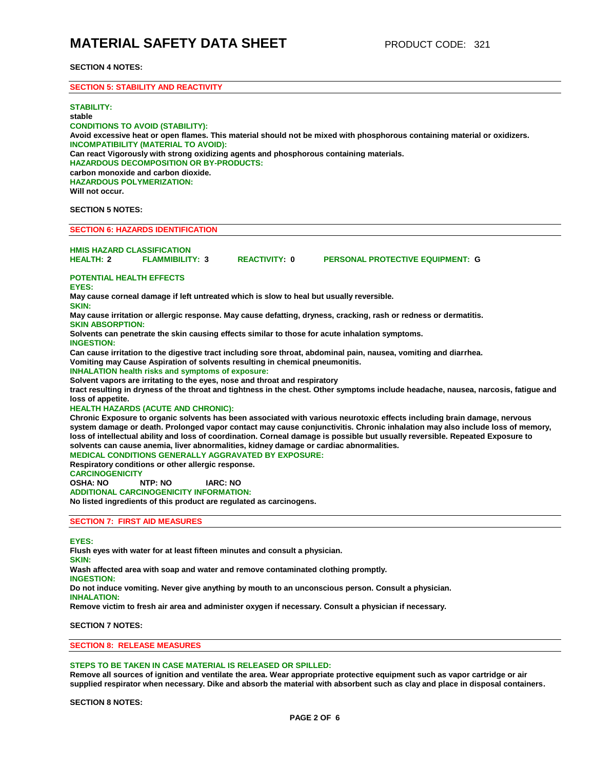# **SECTION 4 NOTES:**

# **SECTION 5: STABILITY AND REACTIVITY**

### **STABILITY:**

**stable CONDITIONS TO AVOID (STABILITY): Avoid excessive heat or open flames. This material should not be mixed with phosphorous containing material or oxidizers. INCOMPATIBILITY (MATERIAL TO AVOID): Can react Vigorously with strong oxidizing agents and phosphorous containing materials. HAZARDOUS DECOMPOSITION OR BY-PRODUCTS: carbon monoxide and carbon dioxide. HAZARDOUS POLYMERIZATION: Will not occur.** 

### **SECTION 5 NOTES:**

# **SECTION 6: HAZARDS IDENTIFICATION**

### **HMIS HAZARD CLASSIFICATION**

**HEALTH: 2 FLAMMIBILITY: 3 REACTIVITY: 0 PERSONAL PROTECTIVE EQUIPMENT: G** 

# **POTENTIAL HEALTH EFFECTS**

**EYES:**

**May cause corneal damage if left untreated which is slow to heal but usually reversible. SKIN:**

**May cause irritation or allergic response. May cause defatting, dryness, cracking, rash or redness or dermatitis. SKIN ABSORPTION:**

**Solvents can penetrate the skin causing effects similar to those for acute inhalation symptoms.**

**INGESTION:**

**Can cause irritation to the digestive tract including sore throat, abdominal pain, nausea, vomiting and diarrhea.**

**Vomiting may Cause Aspiration of solvents resulting in chemical pneumonitis.** 

**INHALATION health risks and symptoms of exposure:**

**Solvent vapors are irritating to the eyes, nose and throat and respiratory**

**tract resulting in dryness of the throat and tightness in the chest. Other symptoms include headache, nausea, narcosis, fatigue and loss of appetite.** 

### **HEALTH HAZARDS (ACUTE AND CHRONIC):**

**Chronic Exposure to organic solvents has been associated with various neurotoxic effects including brain damage, nervous system damage or death. Prolonged vapor contact may cause conjunctivitis. Chronic inhalation may also include loss of memory, loss of intellectual ability and loss of coordination. Corneal damage is possible but usually reversible. Repeated Exposure to solvents can cause anemia, liver abnormalities, kidney damage or cardiac abnormalities.** 

# **MEDICAL CONDITIONS GENERALLY AGGRAVATED BY EXPOSURE:**

**Respiratory conditions or other allergic response.** 

**CARCINOGENICITY<br>OSHA: NO MTP: NO OSHA: NO NTP: NO IARC: NO**

**ADDITIONAL CARCINOGENICITY INFORMATION:**

**No listed ingredients of this product are regulated as carcinogens.** 

# **SECTION 7: FIRST AID MEASURES**

### **EYES:**

**Flush eyes with water for at least fifteen minutes and consult a physician.** 

**SKIN:**

**Wash affected area with soap and water and remove contaminated clothing promptly.** 

**INGESTION:**

**Do not induce vomiting. Never give anything by mouth to an unconscious person. Consult a physician. INHALATION:**

**Remove victim to fresh air area and administer oxygen if necessary. Consult a physician if necessary.**

**SECTION 7 NOTES:** 

**SECTION 8: RELEASE MEASURES**

# **STEPS TO BE TAKEN IN CASE MATERIAL IS RELEASED OR SPILLED:**

**Remove all sources of ignition and ventilate the area. Wear appropriate protective equipment such as vapor cartridge or air supplied respirator when necessary. Dike and absorb the material with absorbent such as clay and place in disposal containers.**

**SECTION 8 NOTES:**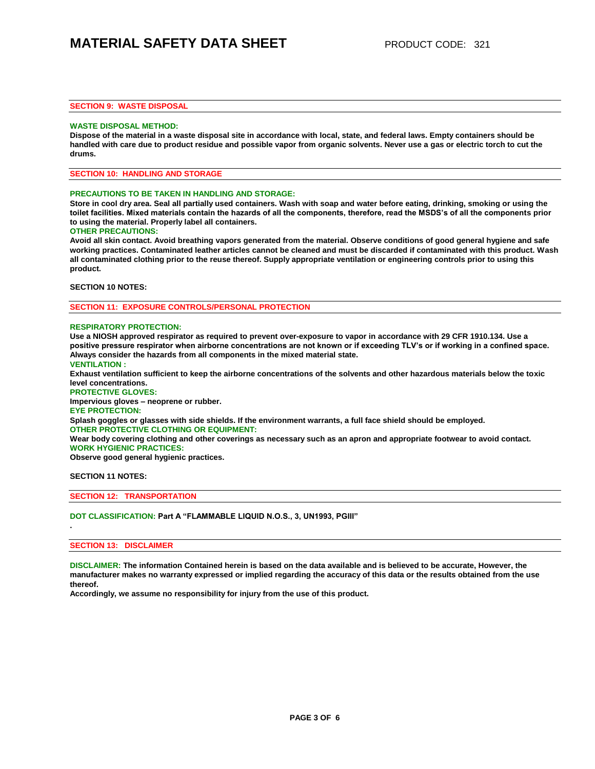# **SECTION 9: WASTE DISPOSAL**

### **WASTE DISPOSAL METHOD:**

**Dispose of the material in a waste disposal site in accordance with local, state, and federal laws. Empty containers should be handled with care due to product residue and possible vapor from organic solvents. Never use a gas or electric torch to cut the drums.**

**SECTION 10: HANDLING AND STORAGE**

# **PRECAUTIONS TO BE TAKEN IN HANDLING AND STORAGE:**

**Store in cool dry area. Seal all partially used containers. Wash with soap and water before eating, drinking, smoking or using the toilet facilities. Mixed materials contain the hazards of all the components, therefore, read the MSDS's of all the components prior to using the material. Properly label all containers.** 

### **OTHER PRECAUTIONS:**

**Avoid all skin contact. Avoid breathing vapors generated from the material. Observe conditions of good general hygiene and safe working practices. Contaminated leather articles cannot be cleaned and must be discarded if contaminated with this product. Wash all contaminated clothing prior to the reuse thereof. Supply appropriate ventilation or engineering controls prior to using this product.**

**SECTION 10 NOTES:** 

**SECTION 11: EXPOSURE CONTROLS/PERSONAL PROTECTION**

# **RESPIRATORY PROTECTION:**

**Use a NIOSH approved respirator as required to prevent over-exposure to vapor in accordance with 29 CFR 1910.134. Use a positive pressure respirator when airborne concentrations are not known or if exceeding TLV's or if working in a confined space. Always consider the hazards from all components in the mixed material state.** 

### **VENTILATION :**

**Exhaust ventilation sufficient to keep the airborne concentrations of the solvents and other hazardous materials below the toxic level concentrations.** 

**PROTECTIVE GLOVES:**

**Impervious gloves – neoprene or rubber.** 

**EYE PROTECTION:**

**Splash goggles or glasses with side shields. If the environment warrants, a full face shield should be employed. OTHER PROTECTIVE CLOTHING OR EQUIPMENT:**

**Wear body covering clothing and other coverings as necessary such as an apron and appropriate footwear to avoid contact. WORK HYGIENIC PRACTICES:**

**Observe good general hygienic practices.**

**SECTION 11 NOTES:** 

**.**

# **SECTION 12: TRANSPORTATION**

**DOT CLASSIFICATION: Part A "FLAMMABLE LIQUID N.O.S., 3, UN1993, PGIII"**

### **SECTION 13: DISCLAIMER**

**DISCLAIMER: The information Contained herein is based on the data available and is believed to be accurate, However, the manufacturer makes no warranty expressed or implied regarding the accuracy of this data or the results obtained from the use thereof.** 

**Accordingly, we assume no responsibility for injury from the use of this product.**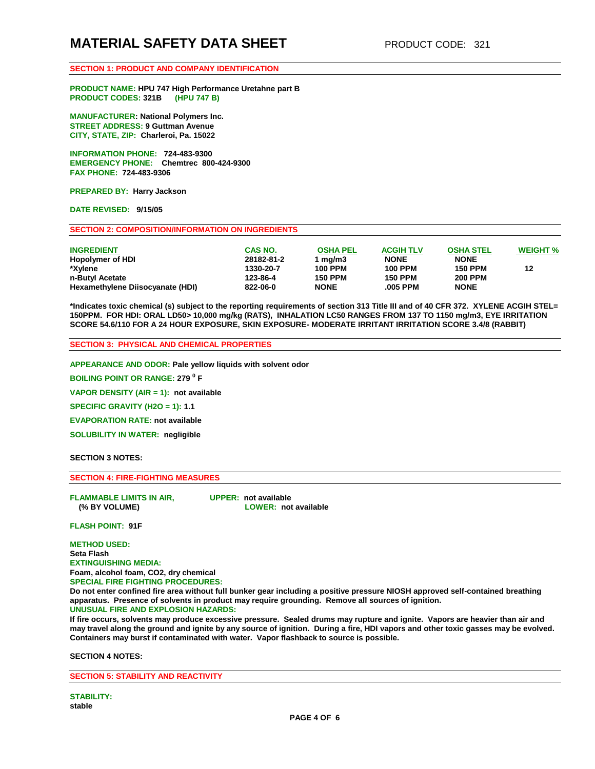# **SECTION 1: PRODUCT AND COMPANY IDENTIFICATION**

**PRODUCT NAME: HPU 747 High Performance Uretahne part B PRODUCT CODES: 321B (HPU 747 B)**

**MANUFACTURER: National Polymers Inc. STREET ADDRESS: 9 Guttman Avenue CITY, STATE, ZIP: Charleroi, Pa. 15022** 

**INFORMATION PHONE: 724-483-9300 EMERGENCY PHONE: Chemtrec 800-424-9300 FAX PHONE: 724-483-9306** 

**PREPARED BY: Harry Jackson** 

**DATE REVISED: 9/15/05**

# **SECTION 2: COMPOSITION/INFORMATION ON INGREDIENTS**

| <b>INGREDIENT</b><br>Hopolymer of HDI<br>*Xylene<br>n-Butyl Acetate | CAS NO.<br>28182-81-2<br>1330-20-7<br>123-86-4 | <b>OSHA PEL</b><br>1 ma/m3<br><b>100 PPM</b><br><b>150 PPM</b> | <b>ACGIH TLV</b><br><b>NONE</b><br><b>100 PPM</b><br><b>150 PPM</b> | <b>OSHA STEL</b><br><b>NONE</b><br><b>150 PPM</b><br><b>200 PPM</b> | <b>WEIGHT %</b><br>12 |
|---------------------------------------------------------------------|------------------------------------------------|----------------------------------------------------------------|---------------------------------------------------------------------|---------------------------------------------------------------------|-----------------------|
| Hexamethylene Diisocyanate (HDI)                                    | 822-06-0                                       | <b>NONE</b>                                                    | .005 PPM                                                            | <b>NONE</b>                                                         |                       |

**\*Indicates toxic chemical (s) subject to the reporting requirements of section 313 Title III and of 40 CFR 372. XYLENE ACGIH STEL= 150PPM. FOR HDI: ORAL LD50> 10,000 mg/kg (RATS), INHALATION LC50 RANGES FROM 137 TO 1150 mg/m3, EYE IRRITATION SCORE 54.6/110 FOR A 24 HOUR EXPOSURE, SKIN EXPOSURE- MODERATE IRRITANT IRRITATION SCORE 3.4/8 (RABBIT)**

**SECTION 3: PHYSICAL AND CHEMICAL PROPERTIES**

**APPEARANCE AND ODOR: Pale yellow liquids with solvent odor** 

**BOILING POINT OR RANGE: 279 <sup>0</sup> F**

**VAPOR DENSITY (AIR = 1): not available** 

**SPECIFIC GRAVITY (H2O = 1): 1.1** 

**EVAPORATION RATE: not available** 

**SOLUBILITY IN WATER: negligible** 

**SECTION 3 NOTES:** 

**SECTION 4: FIRE-FIGHTING MEASURES** 

**FLAMMABLE LIMITS IN AIR, UPPER: not available**

 **(% BY VOLUME) LOWER: not available**

**FLASH POINT: 91F**

**METHOD USED: Seta Flash EXTINGUISHING MEDIA: Foam, alcohol foam, CO2, dry chemical SPECIAL FIRE FIGHTING PROCEDURES:**

**Do not enter confined fire area without full bunker gear including a positive pressure NIOSH approved self-contained breathing apparatus. Presence of solvents in product may require grounding. Remove all sources of ignition. UNUSUAL FIRE AND EXPLOSION HAZARDS:**

**If fire occurs, solvents may produce excessive pressure. Sealed drums may rupture and ignite. Vapors are heavier than air and may travel along the ground and ignite by any source of ignition. During a fire, HDI vapors and other toxic gasses may be evolved. Containers may burst if contaminated with water. Vapor flashback to source is possible.** 

**SECTION 4 NOTES:**

**SECTION 5: STABILITY AND REACTIVITY**

**STABILITY: stable**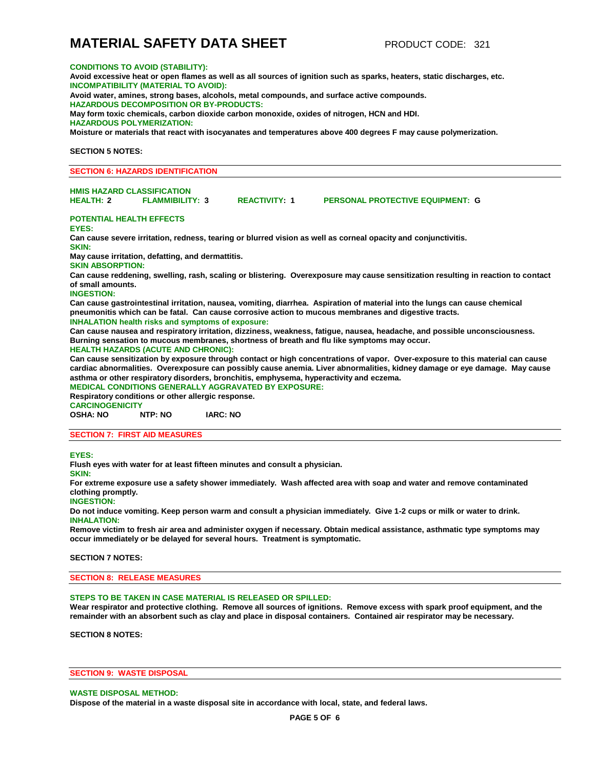# **MATERIAL SAFETY DATA SHEET** PRODUCT CODE: 321

# **CONDITIONS TO AVOID (STABILITY):**

**Avoid excessive heat or open flames as well as all sources of ignition such as sparks, heaters, static discharges, etc. INCOMPATIBILITY (MATERIAL TO AVOID):**

**Avoid water, amines, strong bases, alcohols, metal compounds, and surface active compounds. HAZARDOUS DECOMPOSITION OR BY-PRODUCTS:**

**May form toxic chemicals, carbon dioxide carbon monoxide, oxides of nitrogen, HCN and HDI.** 

### **HAZARDOUS POLYMERIZATION:**

**Moisture or materials that react with isocyanates and temperatures above 400 degrees F may cause polymerization.** 

### **SECTION 5 NOTES:**

**SECTION 6: HAZARDS IDENTIFICATION**

**HMIS HAZARD CLASSIFICATION HEALTH: 2 FLAMMIBILITY: 3 REACTIVITY: 1 PERSONAL PROTECTIVE EQUIPMENT: G**

### **POTENTIAL HEALTH EFFECTS**

**EYES:**

**Can cause severe irritation, redness, tearing or blurred vision as well as corneal opacity and conjunctivitis.** 

**SKIN:**

**May cause irritation, defatting, and dermattitis.** 

# **SKIN ABSORPTION:**

**Can cause reddening, swelling, rash, scaling or blistering. Overexposure may cause sensitization resulting in reaction to contact of small amounts.**

# **INGESTION:**

**Can cause gastrointestinal irritation, nausea, vomiting, diarrhea. Aspiration of material into the lungs can cause chemical pneumonitis which can be fatal. Can cause corrosive action to mucous membranes and digestive tracts.**

**INHALATION health risks and symptoms of exposure:**

**Can cause nausea and respiratory irritation, dizziness, weakness, fatigue, nausea, headache, and possible unconsciousness. Burning sensation to mucous membranes, shortness of breath and flu like symptoms may occur.** 

### **HEALTH HAZARDS (ACUTE AND CHRONIC):**

**Can cause sensitization by exposure through contact or high concentrations of vapor. Over-exposure to this material can cause cardiac abnormalities. Overexposure can possibly cause anemia. Liver abnormalities, kidney damage or eye damage. May cause asthma or other respiratory disorders, bronchitis, emphysema, hyperactivity and eczema.** 

**MEDICAL CONDITIONS GENERALLY AGGRAVATED BY EXPOSURE:**

**Respiratory conditions or other allergic response. CARCINOGENICITY**

**OSHA: NO NTP: NO IARC: NO** 

### **SECTION 7: FIRST AID MEASURES**

**EYES:**

**Flush eyes with water for at least fifteen minutes and consult a physician.** 

**SKIN:**

**For extreme exposure use a safety shower immediately. Wash affected area with soap and water and remove contaminated clothing promptly.** 

### **INGESTION:**

**Do not induce vomiting. Keep person warm and consult a physician immediately. Give 1-2 cups or milk or water to drink. INHALATION:**

**Remove victim to fresh air area and administer oxygen if necessary. Obtain medical assistance, asthmatic type symptoms may occur immediately or be delayed for several hours. Treatment is symptomatic.** 

### **SECTION 7 NOTES:**

# **SECTION 8: RELEASE MEASURES**

### **STEPS TO BE TAKEN IN CASE MATERIAL IS RELEASED OR SPILLED:**

**Wear respirator and protective clothing. Remove all sources of ignitions. Remove excess with spark proof equipment, and the remainder with an absorbent such as clay and place in disposal containers. Contained air respirator may be necessary.**

**SECTION 8 NOTES:** 

### **SECTION 9: WASTE DISPOSAL**

### **WASTE DISPOSAL METHOD:**

**Dispose of the material in a waste disposal site in accordance with local, state, and federal laws.**